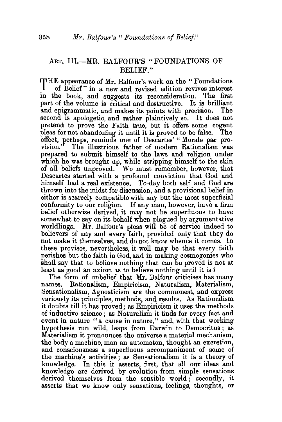## ART. III.-MR. BALFOUR'S "FOUNDATIONS OF BELIEF."

THE appearance of Mr. Balfour's work on the "Foundations" of Belief" in a new and revised edition revives interest. of Belief" in a new and revised edition revives interest in the book, and suggests its reconsideration. The first part of the volume is critical and destructive. It is brilliant and epigrammatic, and makes its points with precision. second is apologetic, and rather plaintively so. It does not pretend to prove the Faith true, but it offers some cogent pleas for not abandoning it until it is proved to be false. effect, perhaps, reminds one of Descartes' " Morale par pro-The illustrious father of modern Rationalism was prepared to submit himself to the laws and religion under which he was brought up, while stripping himself to the skin of all beliefs unproved. We must remember, however, that Descartes started with a profound conviction that God and himself had a real existence. To-day both self and God are thrown into the midst for discussion, and a provisional belief in either is scarcely compatible with any but the most superficial conformity to our religion. If any man, however, have a firm belief otherwise derived, it may not be superfluous to have somewhat to say on its behalf when plagued by argumentative worldlings. Mr. Balfour's pleas will be of service indeed to believers of any and every faith, provided only that they do not make it themselves, and do not know whence it comes. In these provisos, nevertheless, it well may be that every faith perishes but the faith in God, and in making cosmogonies who shall say that to believe nothing that can be proved is not at least as good an axiom as to beheve nothing until it is *?* 

The form of unbelief that Mr. Balfour criticises has many names. Rationalism, Empiricism, Naturalism, Materialism, Sensationalism, Agnosticism are the commonest, and express variously its principles, methods, and results. As Rationalism it doubts till it has proved; as Empiricism it uses the methods of inductive science ; as Naturalism it finds for every fact and event in nature "a cause in nature," and, with that working hypothesis run wild, leaps from Darwin to Democritus ; as Materialism it pronounces the universe a material mechanism, the body a machine, man an automaton, thought an excretion, and consciousness a superfluous accompaniment of some of the machine's activities; as Sensationalism it is a theory of knowledge. In this it asserts, first, that all our ideas and knowledge are derived by evolution from simple sensations derived themselves from the sensible world; secondly, it asserts that we know only sensations, feelings, thoughts, or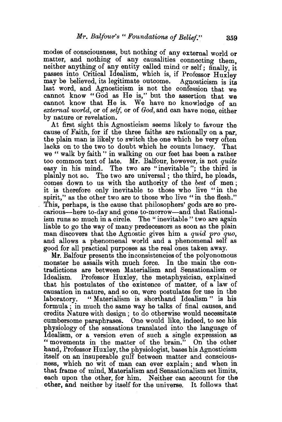modes of consciousness, but nothing of any external world or matter, and nothing of any causalities connecting them. neither anything of any entity called mind or self; finally, it passes into Critical Idealism, which is, if Professor Huxley may be believed, its legitimate outcome. Agnosticism is its last word, and Agnosticism is not the confession that we cannot know "God as He is," but the assertion that we cannot know that He is. We have no knowledge of an *external world,* or of *self,* or of *God,* and can have none, either by nature or revelation.

At first sight this Agnosticism seems likely to favour the cause of Faith, for if the three faiths are rationally on a par, the plain man is likely to switch the one which he very often lacks on to the two to doubt which he counts lunacy. That we " walk by faith " in walking on our feet has been a rather too common text of late. Mr. Balfour, however, is not *quite*  easy in his mind. The two are "inevitable"; the third is plainly not so. The two are universal; the third, he pleads, comes down to us with the authority of the *best* of men ; it is therefore only inevitable to those who live "in the spirit," as the other two are to those who live "in the flesh." This, perhaps, is the cause that philosophers' gods are so precarious—here to-day and gone to-morrow—and that Rationalism runs so much in a circle. The " inevitable " two are again liable to go the way of many predecessors as soon as the plain man discovers that the Agnostic gives him a *quid pro quo,*  and allows a phenomenal world and a phenomenal self as good for all practical purposes as the real ones taken away.

Mr. Balfour presents the inconsistencies of the polyonomous monster he assails with much force. In the main the contradictions are between Materialism and Sensationalism or Idealism. Professor Huxley, the metaphysician, explained that his postulates of the existence of matter, of a law of causation in nature, and so on, were postulates for use in the laboratory. "Materialism is shorthand Idealism" is his formula ; in much the same way he talks of final causes, and credits Nature with design ; to do otherwise would necessitate cumbersome paraphrases. One would like, indeed, to see his physiology of the sensations translated into the language of Idealism, or a version even of such a single expression as "movements in the matter of the brain." On the other hand, Professor Huxley, the physiologist, bases his Agnosticism itself on an insuperable gulf between matter and consciousness, which no wit of man can ever explain; and when in that frame of mind, Materialism and Sensationalism set limits, each upon the other, for him. Neither can account for the other, and neither by itself for the universe. It follows that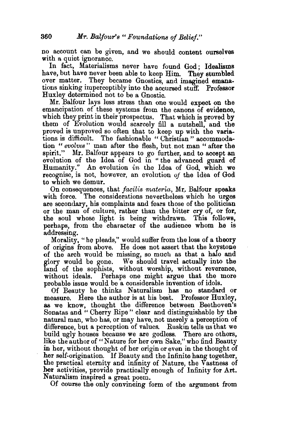no account can be given, and we should content ourselves with a quiet ignorance.

In fact, Materialisms never have found God; Idealisms have, but have never been able to keep Him. They stumbled over matter. They became Gnostics, and imagined emanations sinking imperceptibly into the accursed stuff. Professor Huxley determined not to be a Gnostic.

Mr. Balfour lays less stress than one would expect on the emancipation of these systems from the canons of evidence, which they print in their prospectus. That which is proved by them of Evolution would scarcely fill a nutshell, and the proved is unproved so often that to keep up with the variations is difficult. The fashionable "Christian" accommodation *"evolves"* man after the flesh, but. not man "after the spirit." Mr. Balfour appears to go further, and to accept an evolution of the Idea of God in "the advanced guard of Humanity." An evolution *in* the Idea of God, which we recognise, is not, however, an evolution *of* the Idea of God to which we demur.

On consequences, that *facilis materia,* Mr.. Balfour speaks with force. The considerations nevertheless which he urges are secondary, his complaints and fears those of the politician or the man of culture, rather than the bitter cry of, or for, the soul whose light is being withdrawn. This follows, perhaps, from the character of the audience whom he is addressing.

Morality, "he pleads," would suffer from the loss of a theory of origins from above. He does not assert that the keystone of the arch would be missing, so much as that a halo and glory would be gone. We should travel actually into the land of the sophists, without worship, without reverence, without ideals. Perhaps one might argue that the more probable issue would be a considerable invention of idols.

Of Beauty he thinks Naturalism has no standard or measure. Here the author is at his best. Professor Huxley, as we know, thought the difference between Beethoven's Sonatas and " Cherry Ripe" clear and distinguishable by the natural man, who has, or may have, not merely a perception of difference, but a perception of values. Ruskin tells us that we build ugly houses because we are godless. There are others, like the author of "Nature for her own Sake," who find Beauty in her, without thought of her origin or even in the thought of her self-origination. If Beauty and the Infinite hang together, the practical eternity and infinity of Nature, the Vastness of her activities, provide practically enough of Infinity for Art. Naturalism inspired a great poem.

Of course the only convincing form of the argument from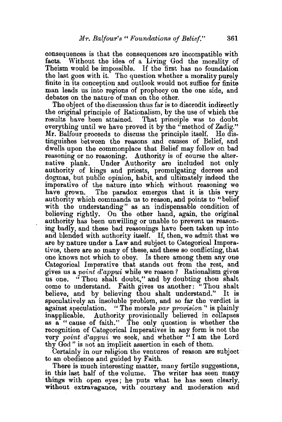consequences is that the consequences are incompatible with facts. Without the idea of a Living God the morality of Theism would be impossible. If the first has no foundation the last goes with it. The question whether a morality purely finite in its conception and outlook would not suffice for finite man leads us into regions of prophecy on the one side, and debates on the nature of man on the other.

The object of the discussion thus far is to discredit indirectly the original principle of Rationalism, by the use of which the results have been attained. That principle was to doubt everything until we have proved it by the "method of Zadig." Mr. Balfour proceeds to discuss the principle itself. He distinguishes between the reasons and causes of Belief, and dwells upon the commonplace that Belief may follow on bad reasoning or no reasoning. Authority is of course the alternative plank. Under Authority are included not only authority of kings and priests, promulgating decrees and dogmas, but public opinion, habit, and ultimately indeed the imperative of the nature into which without reasoning we have grown. The paradox emerges that it is this very authority which commands us to reason, and points to "belief with the understanding" as an indispensable condition of believing rightly. On the other hand, again, the original authority has been unwilling or unable to prevent us reasoning badly, and these bad reasonings have been taken up into and blended with authority itself. If, then, we admit that we are by nature under a Law and subject to Categorical Imperatives, there are so many of these, and these so conflicting, that one knows not which to obey. Is there among them any one Categorical Imperative that stands out from the rest, and gives us a *point d'appui* while we reason? Rationalism gives "Thou shalt doubt," and by doubting thou shalt come to understand. Faith gives us another: "Thou shalt believe, and by believing thou shalt understand." It is speculatively an insoluble problem, and so far the verdict is against speculation. "The morale par provision" is plainly " The morale *par provision*" is plainly inapplicable. Authority provisionally believed in collapses as a "cause of faith." The only question is whether the recognition of Categorical Imperatives in any form is not the very *point d'appui* we seek, and whether "I am the Lord thy God" is not an implicit assertion in each of them.

Certainly in our religion the ventures of reason are subject to an obedience and guided by Faith.

There is much interesting matter, many fertile suggestions, in this last half of the volume. The writer has seen many things with open eyes; he puts what he has seen clearly, without extravagance, with courtesy and moderation and